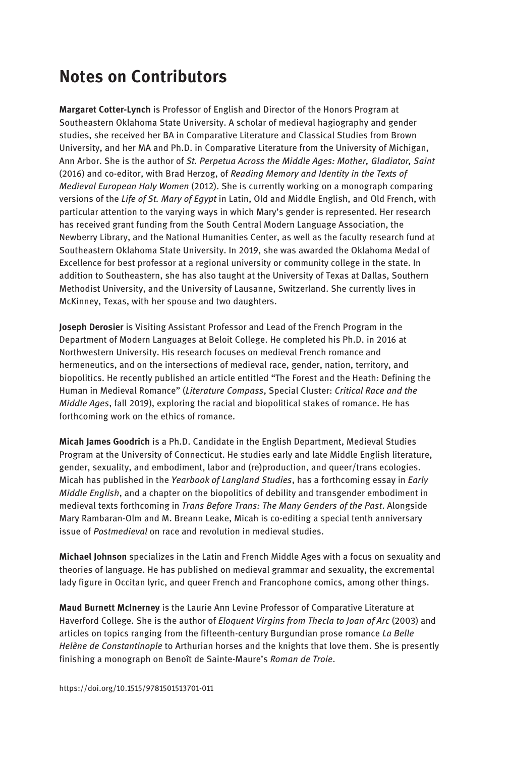## Notes on Contributors

Margaret Cotter-Lynch is Professor of English and Director of the Honors Program at Southeastern Oklahoma State University. A scholar of medieval hagiography and gender studies, she received her BA in Comparative Literature and Classical Studies from Brown University, and her MA and Ph.D. in Comparative Literature from the University of Michigan, Ann Arbor. She is the author of St. Perpetua Across the Middle Ages: Mother, Gladiator, Saint (2016) and co-editor, with Brad Herzog, of Reading Memory and Identity in the Texts of Medieval European Holy Women (2012). She is currently working on a monograph comparing versions of the Life of St. Mary of Eqypt in Latin, Old and Middle English, and Old French, with particular attention to the varying ways in which Mary's gender is represented. Her research has received grant funding from the South Central Modern Language Association, the Newberry Library, and the National Humanities Center, as well as the faculty research fund at Southeastern Oklahoma State University. In 2019, she was awarded the Oklahoma Medal of Excellence for best professor at a regional university or community college in the state. In addition to Southeastern, she has also taught at the University of Texas at Dallas, Southern Methodist University, and the University of Lausanne, Switzerland. She currently lives in McKinney, Texas, with her spouse and two daughters.

Joseph Derosier is Visiting Assistant Professor and Lead of the French Program in the Department of Modern Languages at Beloit College. He completed his Ph.D. in 2016 at Northwestern University. His research focuses on medieval French romance and hermeneutics, and on the intersections of medieval race, gender, nation, territory, and biopolitics. He recently published an article entitled "The Forest and the Heath: Defining the Human in Medieval Romance" (Literature Compass, Special Cluster: Critical Race and the Middle Ages, fall 2019), exploring the racial and biopolitical stakes of romance. He has forthcoming work on the ethics of romance.

Micah James Goodrich is a Ph.D. Candidate in the English Department, Medieval Studies Program at the University of Connecticut. He studies early and late Middle English literature, gender, sexuality, and embodiment, labor and (re)production, and queer/trans ecologies. Micah has published in the Yearbook of Langland Studies, has a forthcoming essay in Early Middle English, and a chapter on the biopolitics of debility and transgender embodiment in medieval texts forthcoming in Trans Before Trans: The Many Genders of the Past. Alongside Mary Rambaran-Olm and M. Breann Leake, Micah is co-editing a special tenth anniversary issue of Postmedieval on race and revolution in medieval studies.

Michael Johnson specializes in the Latin and French Middle Ages with a focus on sexuality and theories of language. He has published on medieval grammar and sexuality, the excremental lady figure in Occitan lyric, and queer French and Francophone comics, among other things.

Maud Burnett McInerney is the Laurie Ann Levine Professor of Comparative Literature at Haverford College. She is the author of Eloquent Virgins from Thecla to Joan of Arc (2003) and articles on topics ranging from the fifteenth-century Burgundian prose romance La Belle Helène de Constantinople to Arthurian horses and the knights that love them. She is presently finishing a monograph on Benoît de Sainte-Maure's Roman de Troie.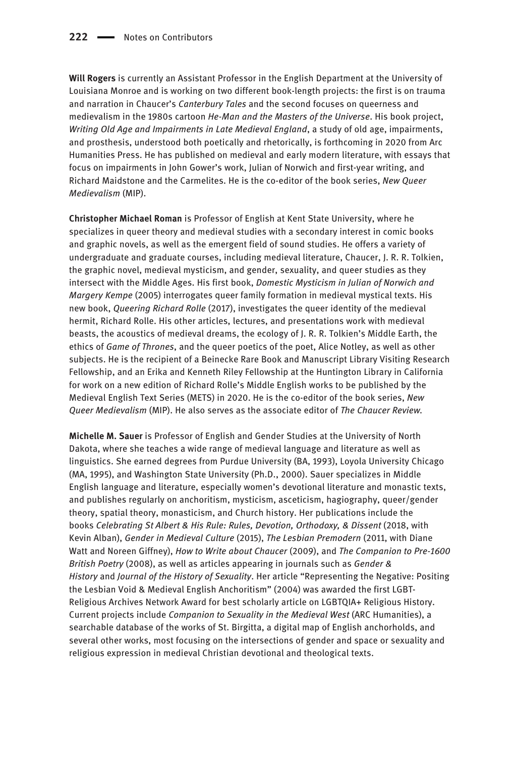Will Rogers is currently an Assistant Professor in the English Department at the University of Louisiana Monroe and is working on two different book-length projects: the first is on trauma and narration in Chaucer's Canterbury Tales and the second focuses on queerness and medievalism in the 1980s cartoon He-Man and the Masters of the Universe. His book project, Writing Old Age and Impairments in Late Medieval England, a study of old age, impairments, and prosthesis, understood both poetically and rhetorically, is forthcoming in 2020 from Arc Humanities Press. He has published on medieval and early modern literature, with essays that focus on impairments in John Gower's work, Julian of Norwich and first-year writing, and Richard Maidstone and the Carmelites. He is the co-editor of the book series, New Queer Medievalism (MIP).

Christopher Michael Roman is Professor of English at Kent State University, where he specializes in queer theory and medieval studies with a secondary interest in comic books and graphic novels, as well as the emergent field of sound studies. He offers a variety of undergraduate and graduate courses, including medieval literature, Chaucer, J. R. R. Tolkien, the graphic novel, medieval mysticism, and gender, sexuality, and queer studies as they intersect with the Middle Ages. His first book, Domestic Mysticism in Julian of Norwich and Margery Kempe (2005) interrogates queer family formation in medieval mystical texts. His new book, Queering Richard Rolle (2017), investigates the queer identity of the medieval hermit, Richard Rolle. His other articles, lectures, and presentations work with medieval beasts, the acoustics of medieval dreams, the ecology of J. R. R. Tolkien's Middle Earth, the ethics of Game of Thrones, and the queer poetics of the poet, Alice Notley, as well as other subjects. He is the recipient of a Beinecke Rare Book and Manuscript Library Visiting Research Fellowship, and an Erika and Kenneth Riley Fellowship at the Huntington Library in California for work on a new edition of Richard Rolle's Middle English works to be published by the Medieval English Text Series (METS) in 2020. He is the co-editor of the book series, New Queer Medievalism (MIP). He also serves as the associate editor of The Chaucer Review.

Michelle M. Sauer is Professor of English and Gender Studies at the University of North Dakota, where she teaches a wide range of medieval language and literature as well as linguistics. She earned degrees from Purdue University (BA, 1993), Loyola University Chicago (MA, 1995), and Washington State University (Ph.D., 2000). Sauer specializes in Middle English language and literature, especially women's devotional literature and monastic texts, and publishes regularly on anchoritism, mysticism, asceticism, hagiography, queer/gender theory, spatial theory, monasticism, and Church history. Her publications include the books Celebrating St Albert & His Rule: Rules, Devotion, Orthodoxy, & Dissent (2018, with Kevin Alban), Gender in Medieval Culture (2015), The Lesbian Premodern (2011, with Diane Watt and Noreen Giffney), How to Write about Chaucer (2009), and The Companion to Pre-1600 British Poetry (2008), as well as articles appearing in journals such as Gender & History and Journal of the History of Sexuality. Her article "Representing the Negative: Positing the Lesbian Void & Medieval English Anchoritism" (2004) was awarded the first LGBT-Religious Archives Network Award for best scholarly article on LGBTQIA+ Religious History. Current projects include Companion to Sexuality in the Medieval West (ARC Humanities), a searchable database of the works of St. Birgitta, a digital map of English anchorholds, and several other works, most focusing on the intersections of gender and space or sexuality and religious expression in medieval Christian devotional and theological texts.